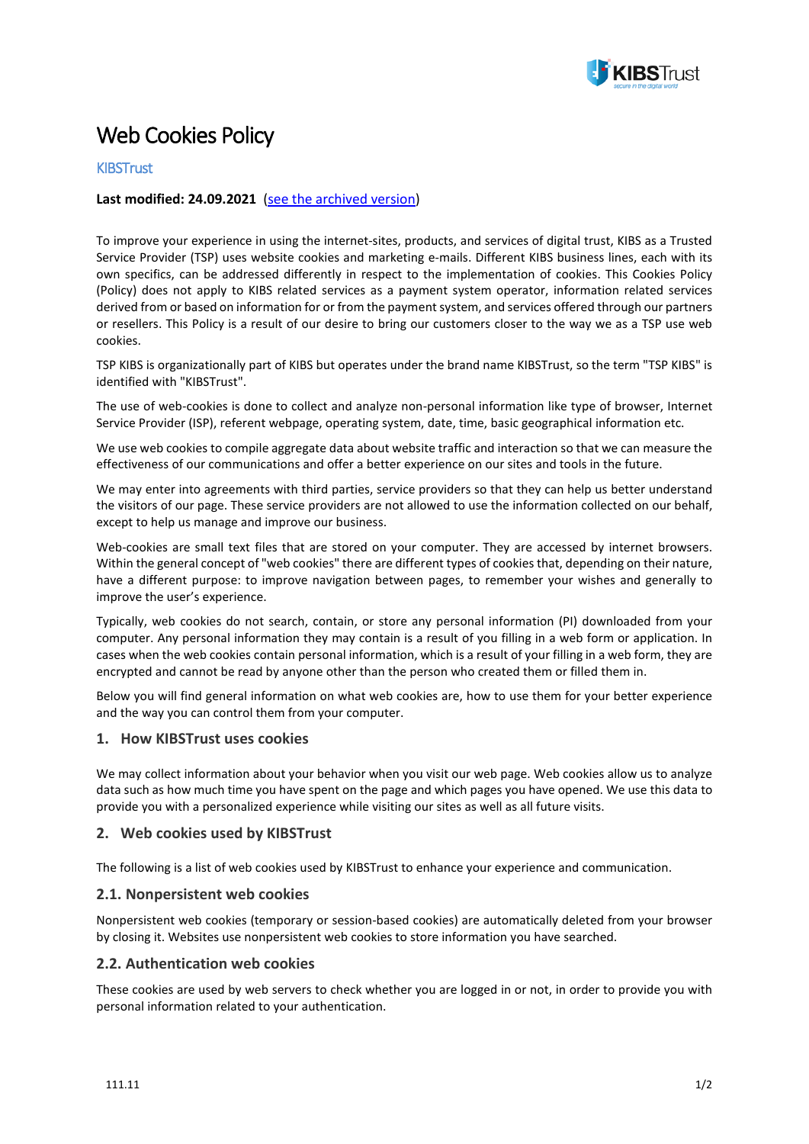

# Web Cookies Policy

## **KIBSTrust**

### **Last modified: 24.09.2021** ([see the archived version](https://www.kibstrust.mk/en-GB/Home/IzminatiDokumenti/))

To improve your experience in using the internet-sites, products, and services of digital trust, KIBS as a Trusted Service Provider (TSP) uses website cookies and marketing e-mails. Different KIBS business lines, each with its own specifics, can be addressed differently in respect to the implementation of cookies. This Cookies Policy (Policy) does not apply to KIBS related services as a payment system operator, information related services derived from or based on information for or from the payment system, and services offered through our partners or resellers. This Policy is a result of our desire to bring our customers closer to the way we as a TSP use web cookies.

TSP KIBS is organizationally part of KIBS but operates under the brand name KIBSTrust, so the term "TSP KIBS" is identified with "KIBSTrust".

The use of web-cookies is done to collect and analyze non-personal information like type of browser, Internet Service Provider (ISP), referent webpage, operating system, date, time, basic geographical information etc.

We use web cookies to compile aggregate data about website traffic and interaction so that we can measure the effectiveness of our communications and offer a better experience on our sites and tools in the future.

We may enter into agreements with third parties, service providers so that they can help us better understand the visitors of our page. These service providers are not allowed to use the information collected on our behalf, except to help us manage and improve our business.

Web-cookies are small text files that are stored on your computer. They are accessed by internet browsers. Within the general concept of "web cookies" there are different types of cookies that, depending on their nature, have a different purpose: to improve navigation between pages, to remember your wishes and generally to improve the user's experience.

Typically, web cookies do not search, contain, or store any personal information (PI) downloaded from your computer. Any personal information they may contain is a result of you filling in a web form or application. In cases when the web cookies contain personal information, which is a result of your filling in a web form, they are encrypted and cannot be read by anyone other than the person who created them or filled them in.

Below you will find general information on what web cookies are, how to use them for your better experience and the way you can control them from your computer.

#### **1. How KIBSTrust uses cookies**

We may collect information about your behavior when you visit our web page. Web cookies allow us to analyze data such as how much time you have spent on the page and which pages you have opened. We use this data to provide you with a personalized experience while visiting our sites as well as all future visits.

#### **2. Web cookies used by KIBSTrust**

The following is a list of web cookies used by KIBSTrust to enhance your experience and communication.

#### **2.1. Nonpersistent web cookies**

Nonpersistent web cookies (temporary or session-based cookies) are automatically deleted from your browser by closing it. Websites use nonpersistent web cookies to store information you have searched.

#### **2.2. Authentication web cookies**

These cookies are used by web servers to check whether you are logged in or not, in order to provide you with personal information related to your authentication.